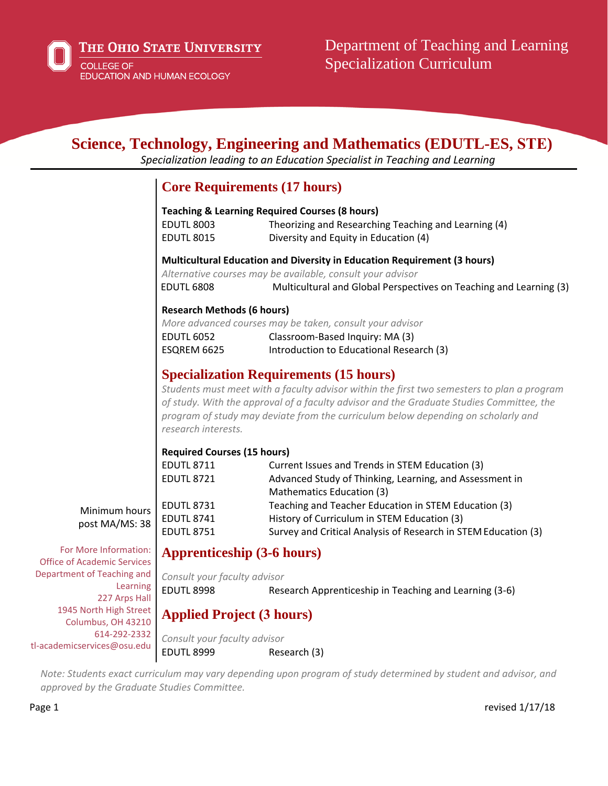

|                                                             |                                                                                                                                                                                                                                                                                                                                                     | Science, Technology, Engineering and Mathematics (EDUTL-ES, STE)<br>Specialization leading to an Education Specialist in Teaching and Learning                                                               |
|-------------------------------------------------------------|-----------------------------------------------------------------------------------------------------------------------------------------------------------------------------------------------------------------------------------------------------------------------------------------------------------------------------------------------------|--------------------------------------------------------------------------------------------------------------------------------------------------------------------------------------------------------------|
|                                                             |                                                                                                                                                                                                                                                                                                                                                     | <b>Core Requirements (17 hours)</b>                                                                                                                                                                          |
|                                                             | <b>EDUTL 8003</b><br><b>EDUTL 8015</b>                                                                                                                                                                                                                                                                                                              | <b>Teaching &amp; Learning Required Courses (8 hours)</b><br>Theorizing and Researching Teaching and Learning (4)<br>Diversity and Equity in Education (4)                                                   |
|                                                             | <b>EDUTL 6808</b>                                                                                                                                                                                                                                                                                                                                   | Multicultural Education and Diversity in Education Requirement (3 hours)<br>Alternative courses may be available, consult your advisor<br>Multicultural and Global Perspectives on Teaching and Learning (3) |
|                                                             | <b>Research Methods (6 hours)</b><br><b>EDUTL 6052</b><br>ESQREM 6625                                                                                                                                                                                                                                                                               | More advanced courses may be taken, consult your advisor<br>Classroom-Based Inquiry: MA (3)<br>Introduction to Educational Research (3)                                                                      |
|                                                             | <b>Specialization Requirements (15 hours)</b><br>Students must meet with a faculty advisor within the first two semesters to plan a program<br>of study. With the approval of a faculty advisor and the Graduate Studies Committee, the<br>program of study may deviate from the curriculum below depending on scholarly and<br>research interests. |                                                                                                                                                                                                              |
|                                                             | <b>Required Courses (15 hours)</b><br><b>EDUTL 8711</b><br><b>EDUTL 8721</b>                                                                                                                                                                                                                                                                        | Current Issues and Trends in STEM Education (3)<br>Advanced Study of Thinking, Learning, and Assessment in<br>Mathematics Education (3)                                                                      |
| Minimum hours<br>post MA/MS: 38                             | <b>EDUTL 8731</b><br><b>EDUTL 8741</b><br><b>EDUTL 8751</b>                                                                                                                                                                                                                                                                                         | Teaching and Teacher Education in STEM Education (3)<br>History of Curriculum in STEM Education (3)<br>Survey and Critical Analysis of Research in STEM Education (3)                                        |
| For More Information:<br><b>Office of Academic Services</b> | <b>Apprenticeship (3-6 hours)</b>                                                                                                                                                                                                                                                                                                                   |                                                                                                                                                                                                              |
| Department of Teaching and<br>Learning<br>227 Arps Hall     | Consult your faculty advisor<br><b>EDUTL 8998</b>                                                                                                                                                                                                                                                                                                   | Research Apprenticeship in Teaching and Learning (3-6)                                                                                                                                                       |
| 1945 North High Street<br>Columbus, OH 43210                | <b>Applied Project (3 hours)</b>                                                                                                                                                                                                                                                                                                                    |                                                                                                                                                                                                              |

*Consult your faculty advisor* EDUTL 8999 Research (3)

Note: Students exact curriculum may vary depending upon program of study determined by student and advisor, and *approved by the Graduate Studies Committee.*

Columbus, OH 43210 614-292-2332 tl-academicservices@osu.edu